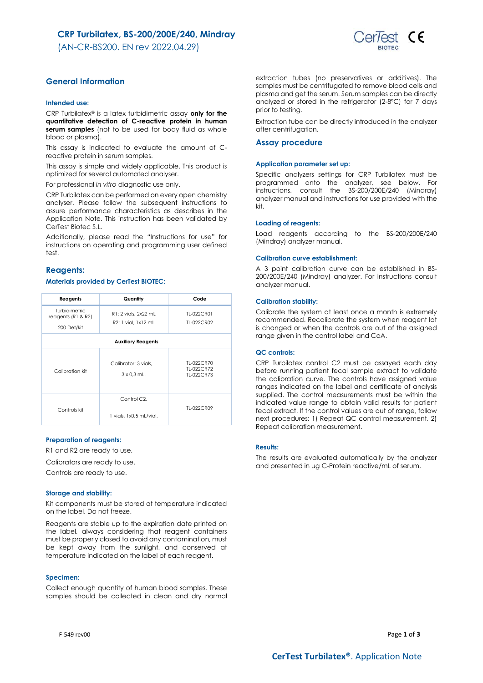## **CRP Turbilatex, BS-200/200E/240, Mindray**

(AN-CR-BS200. EN rev 2022.04.29)



## **General Information**

### **Intended use:**

CRP Turbilatex® is a latex turbidimetric assay **only for the quantitative detection of C-reactive protein in human**  serum samples (not to be used for body fluid as whole blood or plasma).

This assay is indicated to evaluate the amount of Creactive protein in serum samples.

This assay is simple and widely applicable. This product is optimized for several automated analyser.

For professional *in vitro* diagnostic use only.

CRP Turbilatex can be performed on every open chemistry analyser. Please follow the subsequent instructions to assure performance characteristics as describes in the Application Note. This instruction has been validated by CerTest Biotec S.L.

Additionally, please read the "Instructions for use" for instructions on operating and programming user defined test.

## **Reagents:**

### **Materials provided by CerTest BIOTEC:**

| Reagents                                  | Quantity                                            | Code                                   |  |  |
|-------------------------------------------|-----------------------------------------------------|----------------------------------------|--|--|
| Turbidimetric<br>reagents ( $R1$ & $R2$ ) | R1: 2 vials, 2x22 mL                                | TI-022CR01                             |  |  |
| 200 Det/kit                               | R2: 1 vial. 1x12 mL                                 | TI-022CR02                             |  |  |
| <b>Auxiliary Reagents</b>                 |                                                     |                                        |  |  |
| Calibration kit                           | Calibrator: 3 vials.<br>$3 \times 0.3$ mL.          | TI-022CR70<br>TI-022CR72<br>TI-022CR73 |  |  |
| Controls kit                              | Control C <sub>2</sub> .<br>1 vials, 1x0.5 mL/vial. | TI-022CR09                             |  |  |

### **Preparation of reagents:**

R1 and R2 are ready to use.

Calibrators are ready to use.

Controls are ready to use.

### **Storage and stability:**

Kit components must be stored at temperature indicated on the label. Do not freeze.

Reagents are stable up to the expiration date printed on the label, always considering that reagent containers must be properly closed to avoid any contamination, must be kept away from the sunlight, and conserved at temperature indicated on the label of each reagent.

#### **Specimen:**

Collect enough quantity of human blood samples. These samples should be collected in clean and dry normal

extraction tubes (no preservatives or additives). The samples must be centrifugated to remove blood cells and plasma and get the serum. Serum samples can be directly analyzed or stored in the refrigerator (2-8ºC) for 7 days prior to testing.

Extraction tube can be directly introduced in the analyzer after centrifugation.

#### **Assay procedure**

#### **Application parameter set up:**

Specific analyzers settings for CRP Turbilatex must be programmed onto the analyzer, see below. For instructions, consult the BS-200/200E/240 (Mindray) analyzer manual and instructions for use provided with the kit.

### **Loading of reagents:**

Load reagents according to the BS-200/200E/240 (Mindray) analyzer manual.

#### **Calibration curve establishment:**

A 3 point calibration curve can be established in BS-200/200E/240 (Mindray) analyzer. For instructions consult analyzer manual.

#### **Calibration stability:**

Calibrate the system at least once a month is extremely recommended. Recalibrate the system when reagent lot is changed or when the controls are out of the assigned range given in the control label and CoA.

## **QC controls:**

CRP Turbilatex control C2 must be assayed each day before running patient fecal sample extract to validate the calibration curve. The controls have assigned value ranges indicated on the label and certificate of analysis supplied. The control measurements must be within the indicated value range to obtain valid results for patient fecal extract. If the control values are out of range, follow next procedures: 1) Repeat QC control measurement, 2) Repeat calibration measurement.

### **Results:**

The results are evaluated automatically by the analyzer and presented in μg C-Protein reactive/mL of serum.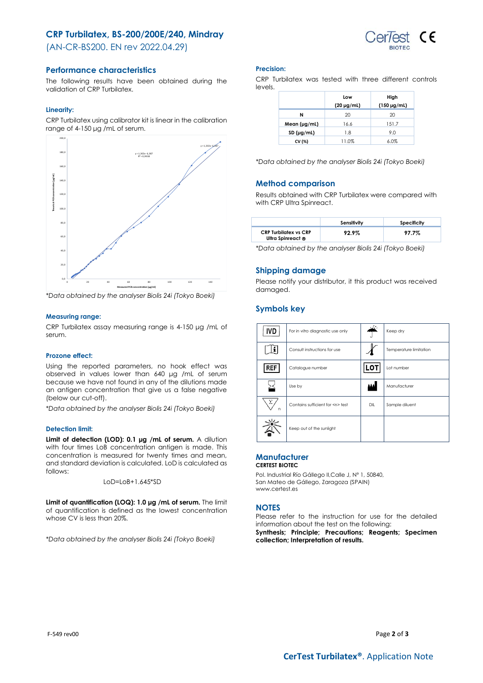## **CRP Turbilatex, BS-200/200E/240, Mindray**

(AN-CR-BS200. EN rev 2022.04.29)



## **Performance characteristics**

The following results have been obtained during the validation of CRP Turbilatex.

## **Linearity:**

CRP Turbilatex using calibrator kit is linear in the calibration range of 4-150 μg /mL of serum.



*\*Data obtained by the analyser Biolis 24i (Tokyo Boeki)*

## **Measuring range:**

CRP Turbilatex assay measuring range is 4-150 μg /mL of serum.

### **Prozone effect:**

Using the reported parameters, no hook effect was observed in values lower than 640 μg /mL of serum because we have not found in any of the dilutions made an antigen concentration that give us a false negative (below our cut-off).

*\*Data obtained by the analyser Biolis 24i (Tokyo Boeki)*

### **Detection limit:**

**Limit of detection (LOD): 0.1 μg /mL of serum.** A dilution with four times LoB concentration antigen is made. This concentration is measured for twenty times and mean, and standard deviation is calculated. LoD is calculated as follows:

LoD=LoB+1.645\*SD

**Limit of quantification (LOQ): 1.0 μg /mL of serum.** The limit of quantification is defined as the lowest concentration whose CV is less than 20%.

*\*Data obtained by the analyser Biolis 24i (Tokyo Boeki)*

### **Precision:**

CRP Turbilatex was tested with three different controls levels.

|                   | Low             | High             |
|-------------------|-----------------|------------------|
|                   | $(20 \mu g/ml)$ | $(150 \mu g/ml)$ |
| N                 | 20              | 20               |
| Mean $(\mu g/ml)$ | 16.6            | 151.7            |
| SD (µg/ml)        | 1.8             | 9.0              |
| CV (%)            | 11.0%           | 6.0%             |

*\*Data obtained by the analyser Biolis 24i (Tokyo Boeki)*

## **Method comparison**

Results obtained with CRP Turbilatex were compared with with CRP Ultra Spinreact.

|                                                   | Sensitivity | Specificity |
|---------------------------------------------------|-------------|-------------|
| <b>CRP Turbilatex vs CRP</b><br>Ultra Spinreact ® | 92.9%       | 97.7%       |

*\*Data obtained by the analyser Biolis 24i (Tokyo Boeki)*

## **Shipping damage**

Please notify your distributor, it this product was received damaged.

## **Symbols key**

| IVD    | For in vitro diagnostic use only     | $\breve{\Upsilon}$ | Keep dry               |
|--------|--------------------------------------|--------------------|------------------------|
|        | Consult instructions for use         |                    | Temperature limitation |
| REF    | Catalogue number                     | .ם                 | Lot number             |
|        | Use by                               | ١A                 | Manufacturer           |
| Σ<br>n | Contains sufficient for <n> test</n> | DIL                | Sample diluent         |
|        | Keep out of the sunlight             |                    |                        |

#### **Manufacturer CERTEST BIOTEC**

Pol. Industrial Río Gállego II,Calle J, Nº 1, 50840, San Mateo de Gállego, Zaragoza (SPAIN) www.certest.es

## **NOTES**

Please refer to the instruction for use for the detailed information about the test on the following:

**Synthesis; Principle; Precautions; Reagents; Specimen collection; Interpretation of results.**